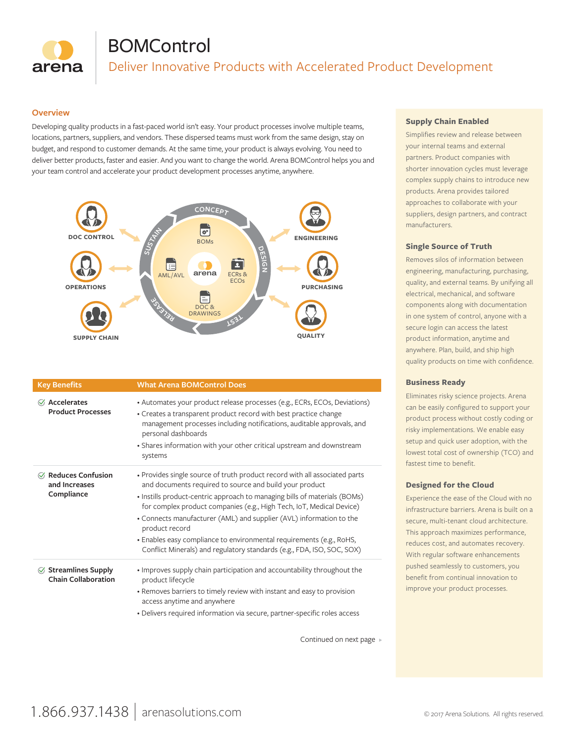

# **BOMControl**

Deliver Innovative Products with Accelerated Product Development

### **Overview**

Developing quality products in a fast-paced world isn't easy. Your product processes involve multiple teams, locations, partners, suppliers, and vendors. These dispersed teams must work from the same design, stay on budget, and respond to customer demands. At the same time, your product is always evolving. You need to deliver better products, faster and easier. And you want to change the world. Arena BOMControl helps you and your team control and accelerate your product development processes anytime, anywhere.



| <b>Key Benefits</b>                                        | <b>What Arena BOMControl Does</b>                                                                                                                                                                                                              |
|------------------------------------------------------------|------------------------------------------------------------------------------------------------------------------------------------------------------------------------------------------------------------------------------------------------|
| $\oslash$ Accelerates<br><b>Product Processes</b>          | • Automates your product release processes (e.g., ECRs, ECOs, Deviations)<br>• Creates a transparent product record with best practice change<br>management processes including notifications, auditable approvals, and<br>personal dashboards |
|                                                            | • Shares information with your other critical upstream and downstream<br>systems                                                                                                                                                               |
| $\oslash$ Reduces Confusion<br>and Increases<br>Compliance | • Provides single source of truth product record with all associated parts<br>and documents required to source and build your product                                                                                                          |
|                                                            | • Instills product-centric approach to managing bills of materials (BOMs)<br>for complex product companies (e.g., High Tech, IoT, Medical Device)                                                                                              |
|                                                            | • Connects manufacturer (AML) and supplier (AVL) information to the<br>product record                                                                                                                                                          |
|                                                            | • Enables easy compliance to environmental requirements (e.g., RoHS,<br>Conflict Minerals) and regulatory standards (e.g., FDA, ISO, SOC, SOX)                                                                                                 |
| $\oslash$ Streamlines Supply<br><b>Chain Collaboration</b> | • Improves supply chain participation and accountability throughout the<br>product lifecycle                                                                                                                                                   |
|                                                            | • Removes barriers to timely review with instant and easy to provision<br>access anytime and anywhere                                                                                                                                          |
|                                                            | · Delivers required information via secure, partner-specific roles access                                                                                                                                                                      |

Continued on next page

### **Supply Chain Enabled**

Simplifies review and release between your internal teams and external partners. Product companies with shorter innovation cycles must leverage complex supply chains to introduce new products. Arena provides tailored approaches to collaborate with your suppliers, design partners, and contract manufacturers.

#### **Single Source of Truth**

Removes silos of information between engineering, manufacturing, purchasing, quality, and external teams. By unifying all electrical, mechanical, and software components along with documentation in one system of control, anyone with a secure login can access the latest product information, anytime and anywhere. Plan, build, and ship high quality products on time with confidence.

### **Business Ready**

Eliminates risky science projects. Arena can be easily configured to support your product process without costly coding or risky implementations. We enable easy setup and quick user adoption, with the lowest total cost of ownership (TCO) and fastest time to benefit.

### **Designed for the Cloud**

Experience the ease of the Cloud with no infrastructure barriers. Arena is built on a secure, multi-tenant cloud architecture. This approach maximizes performance, reduces cost, and automates recovery. With regular software enhancements pushed seamlessly to customers, you benefit from continual innovation to improve your product processes.